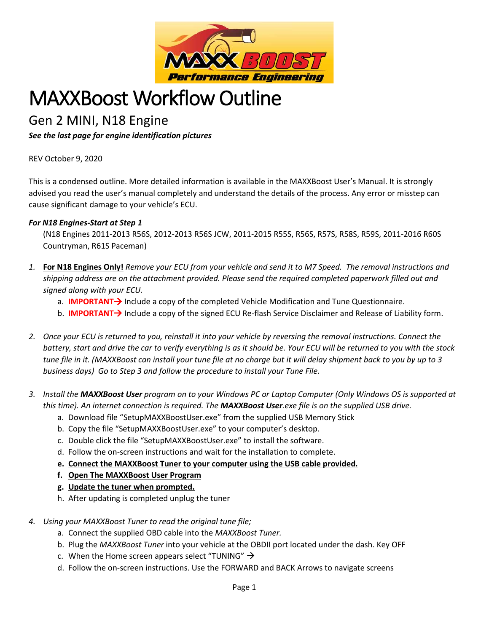

## MAXXBoost Workflow Outline

## Gen 2 MINI, N18 Engine

*See the last page for engine identification pictures*

REV October 9, 2020

This is a condensed outline. More detailed information is available in the MAXXBoost User's Manual. It is strongly advised you read the user's manual completely and understand the details of the process. Any error or misstep can cause significant damage to your vehicle's ECU.

## *For N18 Engines-Start at Step 1*

(N18 Engines 2011-2013 R56S, 2012-2013 R56S JCW, 2011-2015 R55S, R56S, R57S, R58S, R59S, 2011-2016 R60S Countryman, R61S Paceman)

- *1.* **For N18 Engines Only!** *Remove your ECU from your vehicle and send it to M7 Speed. The removal instructions and shipping address are on the attachment provided. Please send the required completed paperwork filled out and signed along with your ECU.*
	- a. **IMPORTANT**> Include a copy of the completed Vehicle Modification and Tune Questionnaire.
	- b. **IMPORTANT**> Include a copy of the signed ECU Re-flash Service Disclaimer and Release of Liability form.
- *2. Once your ECU is returned to you, reinstall it into your vehicle by reversing the removal instructions. Connect the battery, start and drive the car to verify everything is as it should be. Your ECU will be returned to you with the stock tune file in it. (MAXXBoost can install your tune file at no charge but it will delay shipment back to you by up to 3 business days) Go to Step 3 and follow the procedure to install your Tune File.*
- *3. Install the MAXXBoost User program on to your Windows PC or Laptop Computer (Only Windows OS is supported at this time). An internet connection is required. The MAXXBoost User.exe file is on the supplied USB drive.*
	- a. Download file "SetupMAXXBoostUser.exe" from the supplied USB Memory Stick
	- b. Copy the file "SetupMAXXBoostUser.exe" to your computer's desktop.
	- c. Double click the file "SetupMAXXBoostUser.exe" to install the software.
	- d. Follow the on-screen instructions and wait for the installation to complete.
	- **e. Connect the MAXXBoost Tuner to your computer using the USB cable provided.**
	- **f. Open The MAXXBoost User Program**
	- **g. Update the tuner when prompted.**
	- h. After updating is completed unplug the tuner
- *4. Using your MAXXBoost Tuner to read the original tune file;*
	- a. Connect the supplied OBD cable into the *MAXXBoost Tuner.*
	- b. Plug the *MAXXBoost Tuner* into your vehicle at the OBDII port located under the dash. Key OFF
	- c. When the Home screen appears select "TUNING"  $\rightarrow$
	- d. Follow the on-screen instructions. Use the FORWARD and BACK Arrows to navigate screens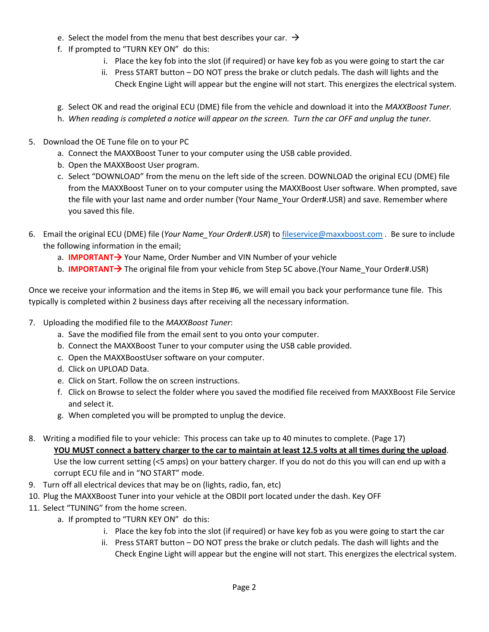- e. Select the model from the menu that best describes your car.  $\rightarrow$
- f. If prompted to "TURN KEY ON" do this:
	- i. Place the key fob into the slot (if required) or have key fob as you were going to start the car
	- ii. Press START button DO NOT press the brake or clutch pedals. The dash will lights and the Check Engine Light will appear but the engine will not start. This energizes the electrical system.
- g. Select OK and read the original ECU (DME) file from the vehicle and download it into the *MAXXBoost Tuner.*
- h. *When reading is completed a notice will appear on the screen. Turn the car OFF and unplug the tuner.*
- 5. Download the OE Tune file on to your PC
	- a. Connect the MAXXBoost Tuner to your computer using the USB cable provided.
	- b. Open the MAXXBoost User program.
	- c. Select "DOWNLOAD" from the menu on the left side of the screen. DOWNLOAD the original ECU (DME) file from the MAXXBoost Tuner on to your computer using the MAXXBoost User software. When prompted, save the file with your last name and order number (Your Name\_Your Order#.USR) and save. Remember where you saved this file.
- 6. Email the original ECU (DME) file (*Your Name\_Your Order#.USR*) to [fileservice@maxxboost.com](mailto:fileservice@maxxboost.com) . Be sure to include the following information in the email;
	- a. **IMPORTANT**> Your Name, Order Number and VIN Number of your vehicle
	- b. **IMPORTANT**> The original file from your vehicle from Step 5C above.(Your Name Your Order#.USR)

Once we receive your information and the items in Step #6, we will email you back your performance tune file. This typically is completed within 2 business days after receiving all the necessary information.

- 7. Uploading the modified file to the *MAXXBoost Tuner*:
	- a. Save the modified file from the email sent to you onto your computer.
	- b. Connect the MAXXBoost Tuner to your computer using the USB cable provided.
	- c. Open the MAXXBoostUser software on your computer.
	- d. Click on UPLOAD Data.
	- e. Click on Start. Follow the on screen instructions.
	- f. Click on Browse to select the folder where you saved the modified file received from MAXXBoost File Service and select it.
	- g. When completed you will be prompted to unplug the device.
- 8. Writing a modified file to your vehicle: This process can take up to 40 minutes to complete. (Page 17)

**YOU MUST connect a battery charger to the car to maintain at least 12.5 volts at all times during the upload**. Use the low current setting (<5 amps) on your battery charger. If you do not do this you will can end up with a corrupt ECU file and in "NO START" mode.

- 9. Turn off all electrical devices that may be on (lights, radio, fan, etc)
- 10. Plug the MAXXBoost Tuner into your vehicle at the OBDII port located under the dash. Key OFF
- 11. Select "TUNING" from the home screen.
	- a. If prompted to "TURN KEY ON" do this:
		- i. Place the key fob into the slot (if required) or have key fob as you were going to start the car
		- ii. Press START button DO NOT press the brake or clutch pedals. The dash will lights and the Check Engine Light will appear but the engine will not start. This energizes the electrical system.